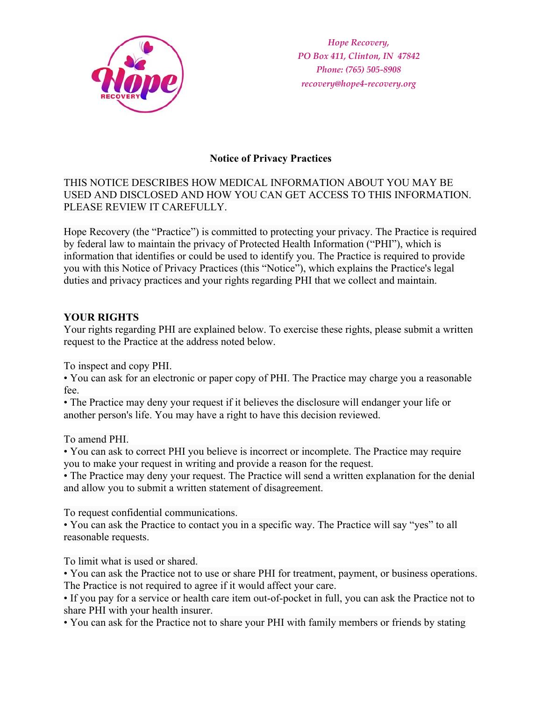

*Hope Recovery, PO Box 411, Clinton, IN 47842 Phone: (765) 505-8908 recovery@hope4-recovery.org* 

# **Notice of Privacy Practices**

## THIS NOTICE DESCRIBES HOW MEDICAL INFORMATION ABOUT YOU MAY BE USED AND DISCLOSED AND HOW YOU CAN GET ACCESS TO THIS INFORMATION. PLEASE REVIEW IT CAREFULLY.

Hope Recovery (the "Practice") is committed to protecting your privacy. The Practice is required by federal law to maintain the privacy of Protected Health Information ("PHI"), which is information that identifies or could be used to identify you. The Practice is required to provide you with this Notice of Privacy Practices (this "Notice"), which explains the Practice's legal duties and privacy practices and your rights regarding PHI that we collect and maintain.

## **YOUR RIGHTS**

Your rights regarding PHI are explained below. To exercise these rights, please submit a written request to the Practice at the address noted below.

To inspect and copy PHI.

• You can ask for an electronic or paper copy of PHI. The Practice may charge you a reasonable fee.

• The Practice may deny your request if it believes the disclosure will endanger your life or another person's life. You may have a right to have this decision reviewed.

To amend PHI.

• You can ask to correct PHI you believe is incorrect or incomplete. The Practice may require you to make your request in writing and provide a reason for the request.

• The Practice may deny your request. The Practice will send a written explanation for the denial and allow you to submit a written statement of disagreement.

To request confidential communications.

• You can ask the Practice to contact you in a specific way. The Practice will say "yes" to all reasonable requests.

To limit what is used or shared.

• You can ask the Practice not to use or share PHI for treatment, payment, or business operations. The Practice is not required to agree if it would affect your care.

• If you pay for a service or health care item out-of-pocket in full, you can ask the Practice not to share PHI with your health insurer.

• You can ask for the Practice not to share your PHI with family members or friends by stating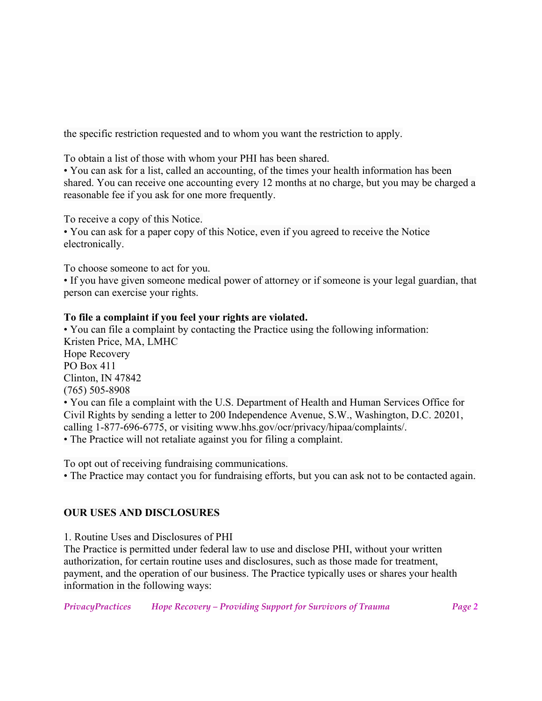the specific restriction requested and to whom you want the restriction to apply.

To obtain a list of those with whom your PHI has been shared.

• You can ask for a list, called an accounting, of the times your health information has been shared. You can receive one accounting every 12 months at no charge, but you may be charged a reasonable fee if you ask for one more frequently.

To receive a copy of this Notice.

• You can ask for a paper copy of this Notice, even if you agreed to receive the Notice electronically.

To choose someone to act for you.

• If you have given someone medical power of attorney or if someone is your legal guardian, that person can exercise your rights.

#### **To file a complaint if you feel your rights are violated.**

• You can file a complaint by contacting the Practice using the following information: Kristen Price, MA, LMHC Hope Recovery PO Box 411 Clinton, IN 47842 (765) 505-8908 • You can file a complaint with the U.S. Department of Health and Human Services Office for Civil Rights by sending a letter to 200 Independence Avenue, S.W., Washington, D.C. 20201, calling 1-877-696-6775, or visiting www.hhs.gov/ocr/privacy/hipaa/complaints/.

• The Practice will not retaliate against you for filing a complaint.

To opt out of receiving fundraising communications.

• The Practice may contact you for fundraising efforts, but you can ask not to be contacted again.

## **OUR USES AND DISCLOSURES**

1. Routine Uses and Disclosures of PHI

The Practice is permitted under federal law to use and disclose PHI, without your written authorization, for certain routine uses and disclosures, such as those made for treatment, payment, and the operation of our business. The Practice typically uses or shares your health information in the following ways: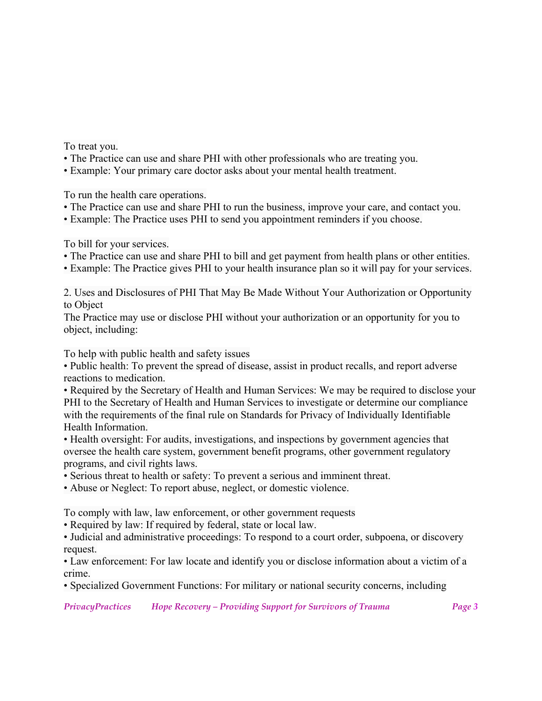To treat you.

- The Practice can use and share PHI with other professionals who are treating you.
- Example: Your primary care doctor asks about your mental health treatment.

To run the health care operations.

- The Practice can use and share PHI to run the business, improve your care, and contact you.
- Example: The Practice uses PHI to send you appointment reminders if you choose.

To bill for your services.

- The Practice can use and share PHI to bill and get payment from health plans or other entities.
- Example: The Practice gives PHI to your health insurance plan so it will pay for your services.

2. Uses and Disclosures of PHI That May Be Made Without Your Authorization or Opportunity to Object

The Practice may use or disclose PHI without your authorization or an opportunity for you to object, including:

To help with public health and safety issues

• Public health: To prevent the spread of disease, assist in product recalls, and report adverse reactions to medication.

• Required by the Secretary of Health and Human Services: We may be required to disclose your PHI to the Secretary of Health and Human Services to investigate or determine our compliance with the requirements of the final rule on Standards for Privacy of Individually Identifiable Health Information.

• Health oversight: For audits, investigations, and inspections by government agencies that oversee the health care system, government benefit programs, other government regulatory programs, and civil rights laws.

• Serious threat to health or safety: To prevent a serious and imminent threat.

• Abuse or Neglect: To report abuse, neglect, or domestic violence.

To comply with law, law enforcement, or other government requests

• Required by law: If required by federal, state or local law.

• Judicial and administrative proceedings: To respond to a court order, subpoena, or discovery request.

• Law enforcement: For law locate and identify you or disclose information about a victim of a crime.

• Specialized Government Functions: For military or national security concerns, including

*PrivacyPractices Hope Recovery – Providing Support for Survivors of Trauma Page 3*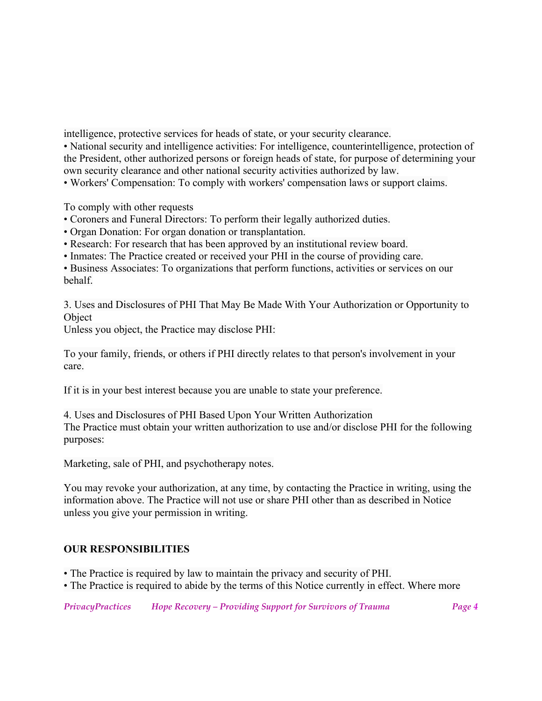intelligence, protective services for heads of state, or your security clearance.

• National security and intelligence activities: For intelligence, counterintelligence, protection of the President, other authorized persons or foreign heads of state, for purpose of determining your own security clearance and other national security activities authorized by law.

• Workers' Compensation: To comply with workers' compensation laws or support claims.

To comply with other requests

• Coroners and Funeral Directors: To perform their legally authorized duties.

• Organ Donation: For organ donation or transplantation.

• Research: For research that has been approved by an institutional review board.

• Inmates: The Practice created or received your PHI in the course of providing care.

• Business Associates: To organizations that perform functions, activities or services on our behalf.

3. Uses and Disclosures of PHI That May Be Made With Your Authorization or Opportunity to Object

Unless you object, the Practice may disclose PHI:

To your family, friends, or others if PHI directly relates to that person's involvement in your care.

If it is in your best interest because you are unable to state your preference.

4. Uses and Disclosures of PHI Based Upon Your Written Authorization The Practice must obtain your written authorization to use and/or disclose PHI for the following purposes:

Marketing, sale of PHI, and psychotherapy notes.

You may revoke your authorization, at any time, by contacting the Practice in writing, using the information above. The Practice will not use or share PHI other than as described in Notice unless you give your permission in writing.

## **OUR RESPONSIBILITIES**

- The Practice is required by law to maintain the privacy and security of PHI.
- The Practice is required to abide by the terms of this Notice currently in effect. Where more

*PrivacyPractices Hope Recovery – Providing Support for Survivors of Trauma Page 4*